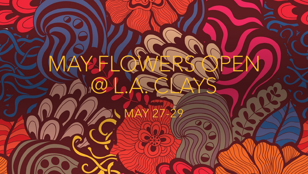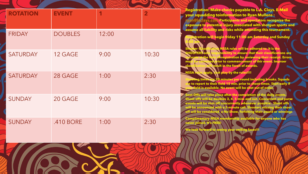| <b>ROTATION</b> | <b>EVENT</b>   |       | $\overline{\mathbf{2}}$ | <b>Registration: Make check</b><br>your squadding toinform<br><u>ryan@laclays.com Particip</u><br>exposure to potential injury<br>assume all liability and risk                     |
|-----------------|----------------|-------|-------------------------|-------------------------------------------------------------------------------------------------------------------------------------------------------------------------------------|
| <b>FRIDAY</b>   | <b>DOUBLES</b> | 12:00 |                         | tration will begin frida<br><b>NSSA</b> ru                                                                                                                                          |
| <b>SATURDAY</b> | 12 GAGE        | 9:00  | 10:30                   | <b><u>nsibility</u></b><br>of registra<br>ior to cor<br>ult in the                                                                                                                  |
| <b>SATURDAY</b> | 28 GAGE        | 1:00  | 2:30                    | <b>NSSA</b><br>ist play by<br>pply.<br>poting times are 20 minute<br>e to report to their field 15 r<br>our field is available. No ever                                             |
| <b>SUNDAY</b>   | 20 GAGE        | 9:00  | 10:30                   | Soot Offs will take place after<br>Shoot offs will be doubl <mark>es 3</mark> , 4<br>vents will be shot off concurr<br>will be announced with a 5-mi<br>off will be considered a No |
| <b>SUNDAY</b>   | .410 BORE      | 1:00  | 2:30                    | <b>Complimentary NSSA membe</b><br>never joined. It's FREE<br><b>Ve look forward</b>                                                                                                |
|                 |                |       |                         |                                                                                                                                                                                     |

**Registration: Make checks payable to L.A. Clays. E -Mail ation to Ryan Mullens : rants and spectators recognize the y** associated with shotgun sports and **as while attending this tournament.** 

**Registration will begin friday 11:00 am Saturday and Sunday** 

**Shooter Classification NSSA rules will be adhered to. It is the to ensure that their classifications are ation by reviewing their receipt. Errors mmencement of thir event. Improer foreit of awards.** 

**the rules!!!!** 

**S** per round including breaks. Squads **min. prior to shoot times. Start early if nt will be shot out of order** 

**Soot Offs will take place after the completion of the daily events. Shoot offs will be doubles 3, 4, 5 miss and out. Concurrent and purse events will be shot off concurrently whenever possible. Shoot offs -minute call. Shooters missing their shoot -Show, forfeiting their award or winnings**

**Complete for anyone who has** 

**<u>smiling faces!!!</u>**